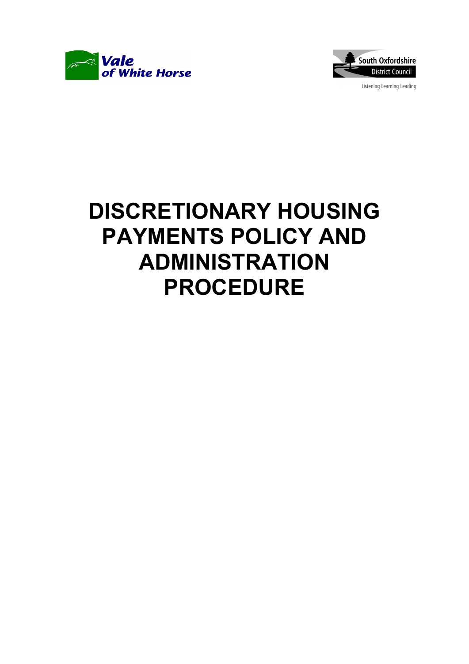



Listening Learning Leading

# DISCRETIONARY HOUSING PAYMENTS POLICY AND ADMINISTRATION PROCEDURE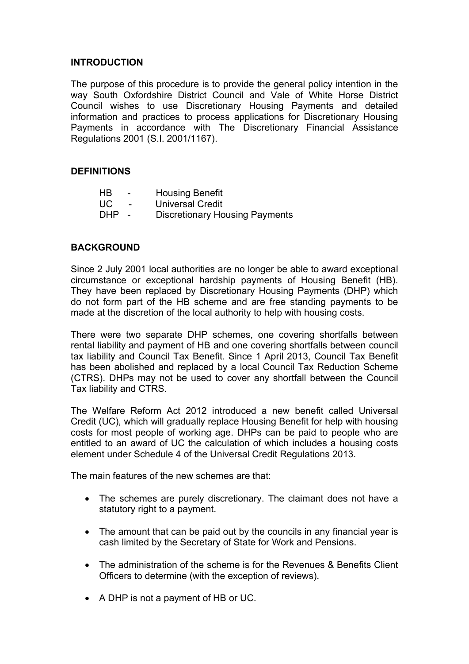## INTRODUCTION

The purpose of this procedure is to provide the general policy intention in the way South Oxfordshire District Council and Vale of White Horse District Council wishes to use Discretionary Housing Payments and detailed information and practices to process applications for Discretionary Housing Payments in accordance with The Discretionary Financial Assistance Regulations 2001 (S.I. 2001/1167).

## DEFINITIONS

| <b>HB</b>  | $\overline{\phantom{0}}$ | <b>Housing Benefit</b>                |
|------------|--------------------------|---------------------------------------|
| UC.        | $\overline{\phantom{0}}$ | <b>Universal Credit</b>               |
| <b>DHP</b> |                          | <b>Discretionary Housing Payments</b> |

#### **BACKGROUND**

Since 2 July 2001 local authorities are no longer be able to award exceptional circumstance or exceptional hardship payments of Housing Benefit (HB). They have been replaced by Discretionary Housing Payments (DHP) which do not form part of the HB scheme and are free standing payments to be made at the discretion of the local authority to help with housing costs.

There were two separate DHP schemes, one covering shortfalls between rental liability and payment of HB and one covering shortfalls between council tax liability and Council Tax Benefit. Since 1 April 2013, Council Tax Benefit has been abolished and replaced by a local Council Tax Reduction Scheme (CTRS). DHPs may not be used to cover any shortfall between the Council Tax liability and CTRS.

The Welfare Reform Act 2012 introduced a new benefit called Universal Credit (UC), which will gradually replace Housing Benefit for help with housing costs for most people of working age. DHPs can be paid to people who are entitled to an award of UC the calculation of which includes a housing costs element under Schedule 4 of the Universal Credit Regulations 2013.

The main features of the new schemes are that:

- The schemes are purely discretionary. The claimant does not have a statutory right to a payment.
- The amount that can be paid out by the councils in any financial year is cash limited by the Secretary of State for Work and Pensions.
- The administration of the scheme is for the Revenues & Benefits Client Officers to determine (with the exception of reviews).
- A DHP is not a payment of HB or UC.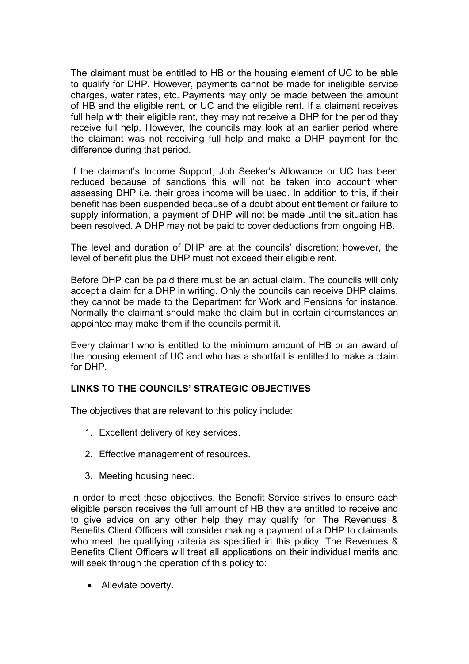The claimant must be entitled to HB or the housing element of UC to be able to qualify for DHP. However, payments cannot be made for ineligible service charges, water rates, etc. Payments may only be made between the amount of HB and the eligible rent, or UC and the eligible rent. If a claimant receives full help with their eligible rent, they may not receive a DHP for the period they receive full help. However, the councils may look at an earlier period where the claimant was not receiving full help and make a DHP payment for the difference during that period.

If the claimant's Income Support, Job Seeker's Allowance or UC has been reduced because of sanctions this will not be taken into account when assessing DHP i.e. their gross income will be used. In addition to this, if their benefit has been suspended because of a doubt about entitlement or failure to supply information, a payment of DHP will not be made until the situation has been resolved. A DHP may not be paid to cover deductions from ongoing HB.

The level and duration of DHP are at the councils' discretion; however, the level of benefit plus the DHP must not exceed their eligible rent.

Before DHP can be paid there must be an actual claim. The councils will only accept a claim for a DHP in writing. Only the councils can receive DHP claims, they cannot be made to the Department for Work and Pensions for instance. Normally the claimant should make the claim but in certain circumstances an appointee may make them if the councils permit it.

Every claimant who is entitled to the minimum amount of HB or an award of the housing element of UC and who has a shortfall is entitled to make a claim for DHP.

# LINKS TO THE COUNCILS' STRATEGIC OBJECTIVES

The objectives that are relevant to this policy include:

- 1. Excellent delivery of key services.
- 2. Effective management of resources.
- 3. Meeting housing need.

In order to meet these objectives, the Benefit Service strives to ensure each eligible person receives the full amount of HB they are entitled to receive and to give advice on any other help they may qualify for. The Revenues & Benefits Client Officers will consider making a payment of a DHP to claimants who meet the qualifying criteria as specified in this policy. The Revenues & Benefits Client Officers will treat all applications on their individual merits and will seek through the operation of this policy to:

• Alleviate poverty.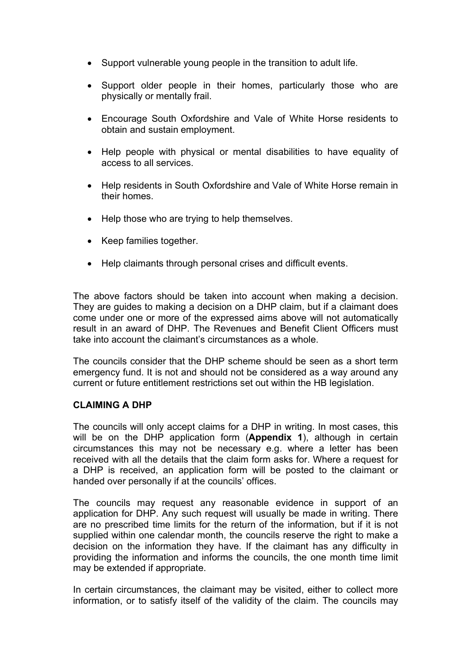- Support vulnerable young people in the transition to adult life.
- Support older people in their homes, particularly those who are physically or mentally frail.
- Encourage South Oxfordshire and Vale of White Horse residents to obtain and sustain employment.
- Help people with physical or mental disabilities to have equality of access to all services.
- Help residents in South Oxfordshire and Vale of White Horse remain in their homes.
- Help those who are trying to help themselves.
- Keep families together.
- Help claimants through personal crises and difficult events.

The above factors should be taken into account when making a decision. They are guides to making a decision on a DHP claim, but if a claimant does come under one or more of the expressed aims above will not automatically result in an award of DHP. The Revenues and Benefit Client Officers must take into account the claimant's circumstances as a whole.

The councils consider that the DHP scheme should be seen as a short term emergency fund. It is not and should not be considered as a way around any current or future entitlement restrictions set out within the HB legislation.

#### CLAIMING A DHP

The councils will only accept claims for a DHP in writing. In most cases, this will be on the DHP application form (Appendix 1), although in certain circumstances this may not be necessary e.g. where a letter has been received with all the details that the claim form asks for. Where a request for a DHP is received, an application form will be posted to the claimant or handed over personally if at the councils' offices.

The councils may request any reasonable evidence in support of an application for DHP. Any such request will usually be made in writing. There are no prescribed time limits for the return of the information, but if it is not supplied within one calendar month, the councils reserve the right to make a decision on the information they have. If the claimant has any difficulty in providing the information and informs the councils, the one month time limit may be extended if appropriate.

In certain circumstances, the claimant may be visited, either to collect more information, or to satisfy itself of the validity of the claim. The councils may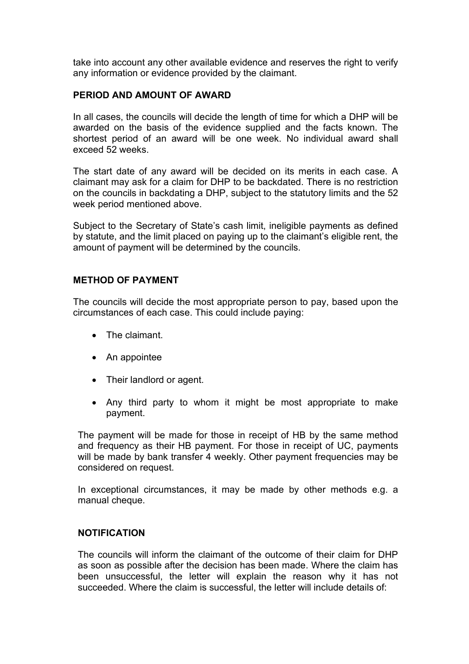take into account any other available evidence and reserves the right to verify any information or evidence provided by the claimant.

## PERIOD AND AMOUNT OF AWARD

In all cases, the councils will decide the length of time for which a DHP will be awarded on the basis of the evidence supplied and the facts known. The shortest period of an award will be one week. No individual award shall exceed 52 weeks.

The start date of any award will be decided on its merits in each case. A claimant may ask for a claim for DHP to be backdated. There is no restriction on the councils in backdating a DHP, subject to the statutory limits and the 52 week period mentioned above.

Subject to the Secretary of State's cash limit, ineligible payments as defined by statute, and the limit placed on paying up to the claimant's eligible rent, the amount of payment will be determined by the councils.

#### METHOD OF PAYMENT

The councils will decide the most appropriate person to pay, based upon the circumstances of each case. This could include paying:

- The claimant
- An appointee
- Their landlord or agent.
- Any third party to whom it might be most appropriate to make payment.

The payment will be made for those in receipt of HB by the same method and frequency as their HB payment. For those in receipt of UC, payments will be made by bank transfer 4 weekly. Other payment frequencies may be considered on request.

In exceptional circumstances, it may be made by other methods e.g. a manual cheque.

#### NOTIFICATION

The councils will inform the claimant of the outcome of their claim for DHP as soon as possible after the decision has been made. Where the claim has been unsuccessful, the letter will explain the reason why it has not succeeded. Where the claim is successful, the letter will include details of: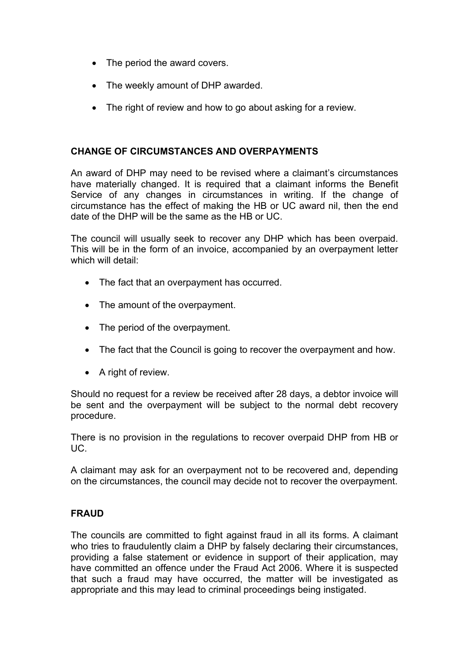- The period the award covers.
- The weekly amount of DHP awarded.
- The right of review and how to go about asking for a review.

#### CHANGE OF CIRCUMSTANCES AND OVERPAYMENTS

An award of DHP may need to be revised where a claimant's circumstances have materially changed. It is required that a claimant informs the Benefit Service of any changes in circumstances in writing. If the change of circumstance has the effect of making the HB or UC award nil, then the end date of the DHP will be the same as the HB or UC.

The council will usually seek to recover any DHP which has been overpaid. This will be in the form of an invoice, accompanied by an overpayment letter which will detail:

- The fact that an overpayment has occurred.
- The amount of the overpayment.
- The period of the overpayment.
- The fact that the Council is going to recover the overpayment and how.
- A right of review.

Should no request for a review be received after 28 days, a debtor invoice will be sent and the overpayment will be subject to the normal debt recovery procedure.

There is no provision in the regulations to recover overpaid DHP from HB or UC.

A claimant may ask for an overpayment not to be recovered and, depending on the circumstances, the council may decide not to recover the overpayment.

#### FRAUD

The councils are committed to fight against fraud in all its forms. A claimant who tries to fraudulently claim a DHP by falsely declaring their circumstances, providing a false statement or evidence in support of their application, may have committed an offence under the Fraud Act 2006. Where it is suspected that such a fraud may have occurred, the matter will be investigated as appropriate and this may lead to criminal proceedings being instigated.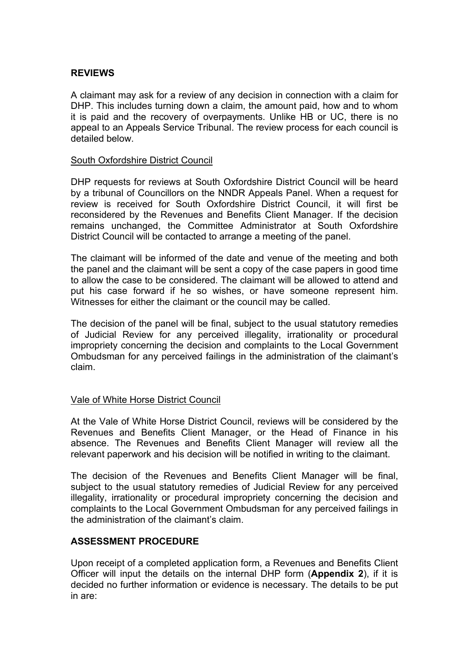#### REVIEWS

A claimant may ask for a review of any decision in connection with a claim for DHP. This includes turning down a claim, the amount paid, how and to whom it is paid and the recovery of overpayments. Unlike HB or UC, there is no appeal to an Appeals Service Tribunal. The review process for each council is detailed below.

#### South Oxfordshire District Council

DHP requests for reviews at South Oxfordshire District Council will be heard by a tribunal of Councillors on the NNDR Appeals Panel. When a request for review is received for South Oxfordshire District Council, it will first be reconsidered by the Revenues and Benefits Client Manager. If the decision remains unchanged, the Committee Administrator at South Oxfordshire District Council will be contacted to arrange a meeting of the panel.

The claimant will be informed of the date and venue of the meeting and both the panel and the claimant will be sent a copy of the case papers in good time to allow the case to be considered. The claimant will be allowed to attend and put his case forward if he so wishes, or have someone represent him. Witnesses for either the claimant or the council may be called.

The decision of the panel will be final, subject to the usual statutory remedies of Judicial Review for any perceived illegality, irrationality or procedural impropriety concerning the decision and complaints to the Local Government Ombudsman for any perceived failings in the administration of the claimant's claim.

#### Vale of White Horse District Council

At the Vale of White Horse District Council, reviews will be considered by the Revenues and Benefits Client Manager, or the Head of Finance in his absence. The Revenues and Benefits Client Manager will review all the relevant paperwork and his decision will be notified in writing to the claimant.

The decision of the Revenues and Benefits Client Manager will be final, subject to the usual statutory remedies of Judicial Review for any perceived illegality, irrationality or procedural impropriety concerning the decision and complaints to the Local Government Ombudsman for any perceived failings in the administration of the claimant's claim.

## ASSESSMENT PROCEDURE

Upon receipt of a completed application form, a Revenues and Benefits Client Officer will input the details on the internal DHP form (Appendix 2), if it is decided no further information or evidence is necessary. The details to be put in are: